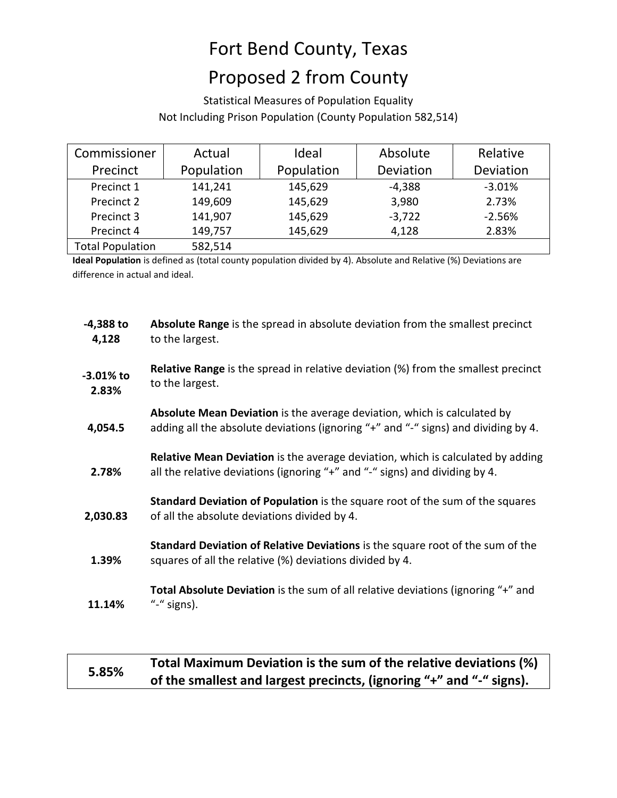# Fort Bend County, Texas

## Proposed 2 from County

Statistical Measures of Population Equality Not Including Prison Population (County Population 582,514)

| Commissioner            | Actual     | Ideal      | Absolute  | Relative  |
|-------------------------|------------|------------|-----------|-----------|
| Precinct                | Population | Population | Deviation | Deviation |
| Precinct 1              | 141,241    | 145,629    | $-4,388$  | $-3.01%$  |
| Precinct 2              | 149,609    | 145,629    | 3,980     | 2.73%     |
| Precinct 3              | 141,907    | 145,629    | $-3,722$  | $-2.56%$  |
| Precinct 4              | 149,757    | 145,629    | 4,128     | 2.83%     |
| <b>Total Population</b> | 582,514    |            |           |           |

**Ideal Population** is defined as (total county population divided by 4). Absolute and Relative (%) Deviations are difference in actual and ideal.

| $-4,388$ to<br>4,128 | Absolute Range is the spread in absolute deviation from the smallest precinct<br>to the largest.                                                                      |
|----------------------|-----------------------------------------------------------------------------------------------------------------------------------------------------------------------|
| -3.01% to<br>2.83%   | <b>Relative Range</b> is the spread in relative deviation (%) from the smallest precinct<br>to the largest.                                                           |
| 4,054.5              | <b>Absolute Mean Deviation</b> is the average deviation, which is calculated by<br>adding all the absolute deviations (ignoring "+" and "-" signs) and dividing by 4. |
| 2.78%                | <b>Relative Mean Deviation</b> is the average deviation, which is calculated by adding<br>all the relative deviations (ignoring "+" and "-" signs) and dividing by 4. |
| 2,030.83             | Standard Deviation of Population is the square root of the sum of the squares<br>of all the absolute deviations divided by 4.                                         |
| 1.39%                | Standard Deviation of Relative Deviations is the square root of the sum of the<br>squares of all the relative (%) deviations divided by 4.                            |
| 11.14%               | Total Absolute Deviation is the sum of all relative deviations (ignoring "+" and<br>"-" signs).                                                                       |

**Fotal Maximum Deviation is the sum of the relative deviations (%) of the smallest and largest precincts, (ignoring "+" and "-" signs).**